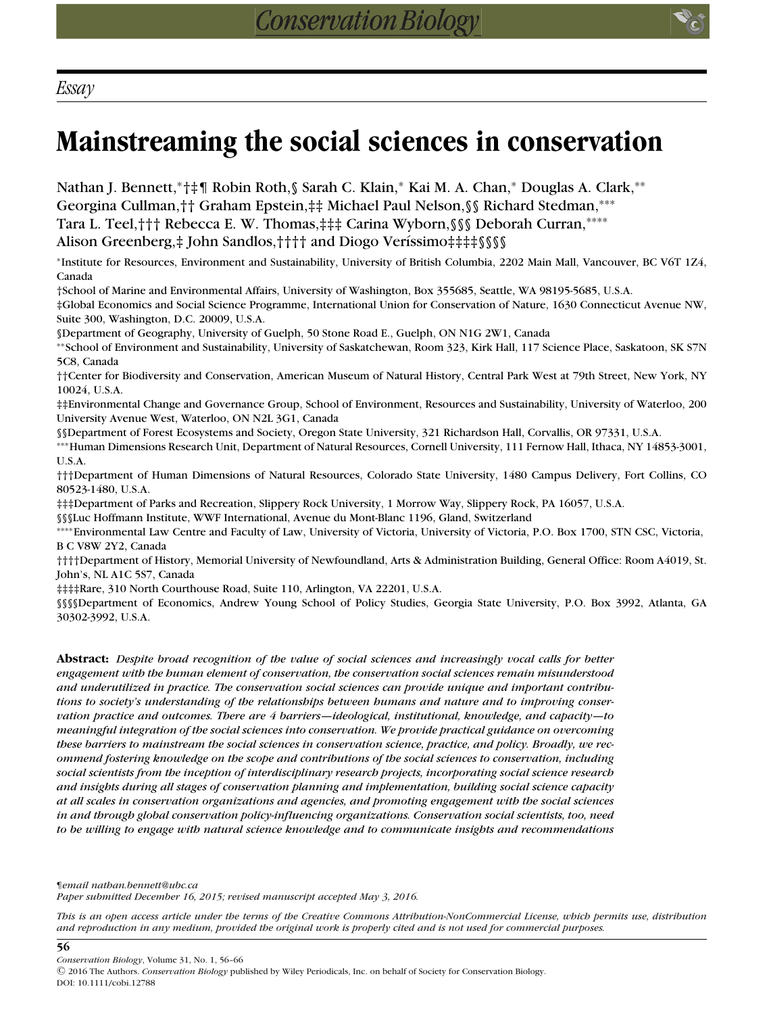# **Mainstreaming the social sciences in conservation**

Nathan J. Bennett,∗†‡¶ Robin Roth,§ Sarah C. Klain,<sup>∗</sup> Kai M. A. Chan,<sup>∗</sup> Douglas A. Clark,∗∗ Georgina Cullman,†† Graham Epstein,‡‡ Michael Paul Nelson,§§ Richard Stedman,∗∗∗ Tara L. Teel,††† Rebecca E. W. Thomas,‡‡‡ Carina Wyborn,§§§ Deborah Curran,∗∗∗∗ Alison Greenberg,‡ John Sandlos,†††† and Diogo Veríssimo‡‡‡‡§§§§

<sup>∗</sup>Institute for Resources, Environment and Sustainability, University of British Columbia, 2202 Main Mall, Vancouver, BC V6T 1Z4, Canada

†School of Marine and Environmental Affairs, University of Washington, Box 355685, Seattle, WA 98195-5685, U.S.A.

‡Global Economics and Social Science Programme, International Union for Conservation of Nature, 1630 Connecticut Avenue NW, Suite 300, Washington, D.C. 20009, U.S.A.

§Department of Geography, University of Guelph, 50 Stone Road E., Guelph, ON N1G 2W1, Canada

∗∗School of Environment and Sustainability, University of Saskatchewan, Room 323, Kirk Hall, 117 Science Place, Saskatoon, SK S7N 5C8, Canada

††Center for Biodiversity and Conservation, American Museum of Natural History, Central Park West at 79th Street, New York, NY 10024, U.S.A.

‡‡Environmental Change and Governance Group, School of Environment, Resources and Sustainability, University of Waterloo, 200 University Avenue West, Waterloo, ON N2L 3G1, Canada

§§Department of Forest Ecosystems and Society, Oregon State University, 321 Richardson Hall, Corvallis, OR 97331, U.S.A.

∗∗∗Human Dimensions Research Unit, Department of Natural Resources, Cornell University, 111 Fernow Hall, Ithaca, NY 14853-3001, U.S.A.

†††Department of Human Dimensions of Natural Resources, Colorado State University, 1480 Campus Delivery, Fort Collins, CO 80523-1480, U.S.A.

‡‡‡Department of Parks and Recreation, Slippery Rock University, 1 Morrow Way, Slippery Rock, PA 16057, U.S.A.

§§§Luc Hoffmann Institute, WWF International, Avenue du Mont-Blanc 1196, Gland, Switzerland

∗∗∗∗Environmental Law Centre and Faculty of Law, University of Victoria, University of Victoria, P.O. Box 1700, STN CSC, Victoria, B C V8W 2Y2, Canada

††††Department of History, Memorial University of Newfoundland, Arts & Administration Building, General Office: Room A4019, St. John's, NL A1C 5S7, Canada

‡‡‡‡Rare, 310 North Courthouse Road, Suite 110, Arlington, VA 22201, U.S.A.

§§§§Department of Economics, Andrew Young School of Policy Studies, Georgia State University, P.O. Box 3992, Atlanta, GA 30302-3992, U.S.A.

**Abstract:** *Despite broad recognition of the value of social sciences and increasingly vocal calls for better engagement with the human element of conservation, the conservation social sciences remain misunderstood and underutilized in practice. The conservation social sciences can provide unique and important contributions to society's understanding of the relationships between humans and nature and to improving conservation practice and outcomes. There are 4 barriers—ideological, institutional, knowledge, and capacity—to meaningful integration of the social sciences into conservation. We provide practical guidance on overcoming these barriers to mainstream the social sciences in conservation science, practice, and policy. Broadly, we recommend fostering knowledge on the scope and contributions of the social sciences to conservation, including social scientists from the inception of interdisciplinary research projects, incorporating social science research and insights during all stages of conservation planning and implementation, building social science capacity at all scales in conservation organizations and agencies, and promoting engagement with the social sciences in and through global conservation policy-influencing organizations. Conservation social scientists, too, need to be willing to engage with natural science knowledge and to communicate insights and recommendations*

¶*email nathan.bennett@ubc.ca*

**56**

*Paper submitted December 16, 2015; revised manuscript accepted May 3, 2016.*

*This is an open access article under the terms of the [Creative Commons Attribution-NonCommercial](http://creativecommons.org/licenses/by-nc/4.0/) License, which permits use, distribution and reproduction in any medium, provided the original work is properly cited and is not used for commercial purposes.*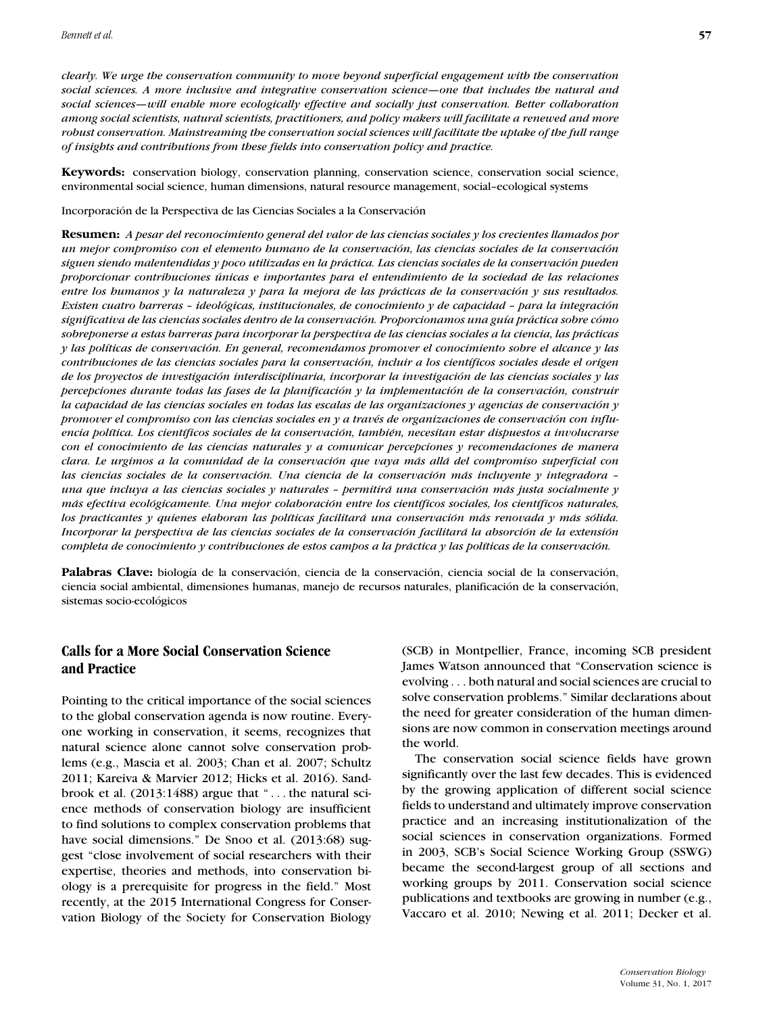*clearly. We urge the conservation community to move beyond superficial engagement with the conservation social sciences. A more inclusive and integrative conservation science—one that includes the natural and social sciences—will enable more ecologically effective and socially just conservation. Better collaboration among social scientists, natural scientists, practitioners, and policy makers will facilitate a renewed and more robust conservation. Mainstreaming the conservation social sciences will facilitate the uptake of the full range of insights and contributions from these fields into conservation policy and practice.*

**Keywords:** conservation biology, conservation planning, conservation science, conservation social science, environmental social science, human dimensions, natural resource management, social–ecological systems

Incorporación de la Perspectiva de las Ciencias Sociales a la Conservación

**Resumen:** *A pesar del reconocimiento general del valor de las ciencias sociales y los crecientes llamados por un mejor compromiso con el elemento humano de la conservacion, las ciencias sociales de la conservaci ´ on´ siguen siendo malentendidas y poco utilizadas en la practica. Las ciencias sociales de la conservaci ´ on pueden ´ proporcionar contribuciones unicas e importantes para el entendimiento de la sociedad de las relaciones ´ entre los humanos y la naturaleza y para la mejora de las prácticas de la conservación y sus resultados. Existen cuatro barreras – ideologicas, institucionales, de conocimiento y de capacidad – para la integraci ´ on´ significativa de las ciencias sociales dentro de la conservacion. Proporcionamos una gu ´ ´ıa practica sobre c ´ omo ´ sobreponerse a estas barreras para incorporar la perspectiva de las ciencias sociales a la ciencia, las practicas ´ y las pol´ıticas de conservacion. En general, recomendamos promover el conocimiento sobre el alcance y las ´ contribuciones de las ciencias sociales para la conservacion, incluir a los cient ´ ´ıficos sociales desde el origen de los proyectos de investigacion interdisciplinaria, incorporar la investigaci ´ on de las ciencias sociales y las ´ percepciones durante todas las fases de la planificacion y la implementaci ´ on de la conservaci ´ on, construir ´ la capacidad de las ciencias sociales en todas las escalas de las organizaciones y agencias de conservacion y ´ promover el compromiso con las ciencias sociales en y a trav´es de organizaciones de conservacion con influ- ´ encia pol´ıtica. Los cient´ıficos sociales de la conservacion, tambi ´ ´en, necesitan estar dispuestos a involucrarse con el conocimiento de las ciencias naturales y a comunicar percepciones y recomendaciones de manera clara. Le urgimos a la comunidad de la conservacion que vaya m ´ as all ´ a del compromiso superficial con ´ las ciencias sociales de la conservación. Una ciencia de la conservación más incluyente y integradora – una que incluya a las ciencias sociales y naturales – permitira una conservaci ´ on m ´ as justa socialmente y ´ mas efectiva ecol ´ ogicamente. Una mejor colaboraci ´ on entre los cient ´ ´ıficos sociales, los cient´ıficos naturales, los practicantes y quienes elaboran las políticas facilitará una conservación más renovada y más sólida. Incorporar la perspectiva de las ciencias sociales de la conservacion facilitar ´ a la absorci ´ on de la extensi ´ on´*  $completa$  de conocimiento  $\gamma$  contribuciones de estos campos a la práctica  $\gamma$  las políticas de la conservación.

**Palabras Clave:** biología de la conservación, ciencia de la conservación, ciencia social de la conservación, ciencia social ambiental, dimensiones humanas, manejo de recursos naturales, planificación de la conservación, sistemas socio-ecológicos

# **Calls for a More Social Conservation Science and Practice**

Pointing to the critical importance of the social sciences to the global conservation agenda is now routine. Everyone working in conservation, it seems, recognizes that natural science alone cannot solve conservation problems (e.g., Mascia et al. 2003; Chan et al. 2007; Schultz 2011; Kareiva & Marvier 2012; Hicks et al. 2016). Sandbrook et al. (2013:1488) argue that "... the natural science methods of conservation biology are insufficient to find solutions to complex conservation problems that have social dimensions." De Snoo et al. (2013:68) suggest "close involvement of social researchers with their expertise, theories and methods, into conservation biology is a prerequisite for progress in the field." Most recently, at the 2015 International Congress for Conservation Biology of the Society for Conservation Biology

(SCB) in Montpellier, France, incoming SCB president James Watson announced that "Conservation science is evolving . . . both natural and social sciences are crucial to solve conservation problems." Similar declarations about the need for greater consideration of the human dimensions are now common in conservation meetings around the world.

The conservation social science fields have grown significantly over the last few decades. This is evidenced by the growing application of different social science fields to understand and ultimately improve conservation practice and an increasing institutionalization of the social sciences in conservation organizations. Formed in 2003, SCB's Social Science Working Group (SSWG) became the second-largest group of all sections and working groups by 2011. Conservation social science publications and textbooks are growing in number (e.g., Vaccaro et al. 2010; Newing et al. 2011; Decker et al.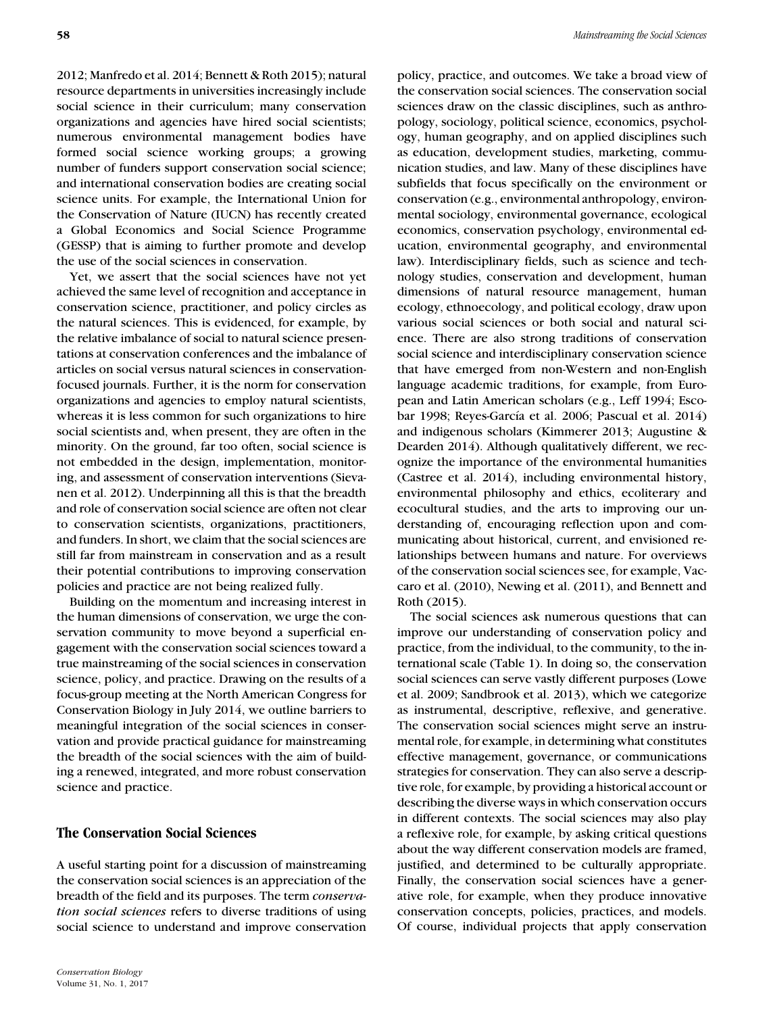2012; Manfredo et al. 2014; Bennett & Roth 2015); natural resource departments in universities increasingly include social science in their curriculum; many conservation organizations and agencies have hired social scientists; numerous environmental management bodies have formed social science working groups; a growing number of funders support conservation social science; and international conservation bodies are creating social science units. For example, the International Union for the Conservation of Nature (IUCN) has recently created a Global Economics and Social Science Programme (GESSP) that is aiming to further promote and develop the use of the social sciences in conservation.

Yet, we assert that the social sciences have not yet achieved the same level of recognition and acceptance in conservation science, practitioner, and policy circles as the natural sciences. This is evidenced, for example, by the relative imbalance of social to natural science presentations at conservation conferences and the imbalance of articles on social versus natural sciences in conservationfocused journals. Further, it is the norm for conservation organizations and agencies to employ natural scientists, whereas it is less common for such organizations to hire social scientists and, when present, they are often in the minority. On the ground, far too often, social science is not embedded in the design, implementation, monitoring, and assessment of conservation interventions (Sievanen et al. 2012). Underpinning all this is that the breadth and role of conservation social science are often not clear to conservation scientists, organizations, practitioners, and funders. In short, we claim that the social sciences are still far from mainstream in conservation and as a result their potential contributions to improving conservation policies and practice are not being realized fully.

Building on the momentum and increasing interest in the human dimensions of conservation, we urge the conservation community to move beyond a superficial engagement with the conservation social sciences toward a true mainstreaming of the social sciences in conservation science, policy, and practice. Drawing on the results of a focus-group meeting at the North American Congress for Conservation Biology in July 2014, we outline barriers to meaningful integration of the social sciences in conservation and provide practical guidance for mainstreaming the breadth of the social sciences with the aim of building a renewed, integrated, and more robust conservation science and practice.

# **The Conservation Social Sciences**

A useful starting point for a discussion of mainstreaming the conservation social sciences is an appreciation of the breadth of the field and its purposes. The term *conservation social sciences* refers to diverse traditions of using social science to understand and improve conservation

policy, practice, and outcomes. We take a broad view of the conservation social sciences. The conservation social sciences draw on the classic disciplines, such as anthropology, sociology, political science, economics, psychology, human geography, and on applied disciplines such as education, development studies, marketing, communication studies, and law. Many of these disciplines have subfields that focus specifically on the environment or conservation (e.g., environmental anthropology, environmental sociology, environmental governance, ecological economics, conservation psychology, environmental education, environmental geography, and environmental law). Interdisciplinary fields, such as science and technology studies, conservation and development, human dimensions of natural resource management, human ecology, ethnoecology, and political ecology, draw upon various social sciences or both social and natural science. There are also strong traditions of conservation social science and interdisciplinary conservation science that have emerged from non-Western and non-English language academic traditions, for example, from European and Latin American scholars (e.g., Leff 1994; Escobar 1998; Reyes-García et al. 2006; Pascual et al. 2014) and indigenous scholars (Kimmerer 2013; Augustine & Dearden 2014). Although qualitatively different, we recognize the importance of the environmental humanities (Castree et al. 2014), including environmental history, environmental philosophy and ethics, ecoliterary and ecocultural studies, and the arts to improving our understanding of, encouraging reflection upon and communicating about historical, current, and envisioned relationships between humans and nature. For overviews of the conservation social sciences see, for example, Vaccaro et al. (2010), Newing et al. (2011), and Bennett and Roth (2015).

The social sciences ask numerous questions that can improve our understanding of conservation policy and practice, from the individual, to the community, to the international scale (Table 1). In doing so, the conservation social sciences can serve vastly different purposes (Lowe et al. 2009; Sandbrook et al. 2013), which we categorize as instrumental, descriptive, reflexive, and generative. The conservation social sciences might serve an instrumental role, for example, in determining what constitutes effective management, governance, or communications strategies for conservation. They can also serve a descriptive role, for example, by providing a historical account or describing the diverse ways in which conservation occurs in different contexts. The social sciences may also play a reflexive role, for example, by asking critical questions about the way different conservation models are framed, justified, and determined to be culturally appropriate. Finally, the conservation social sciences have a generative role, for example, when they produce innovative conservation concepts, policies, practices, and models. Of course, individual projects that apply conservation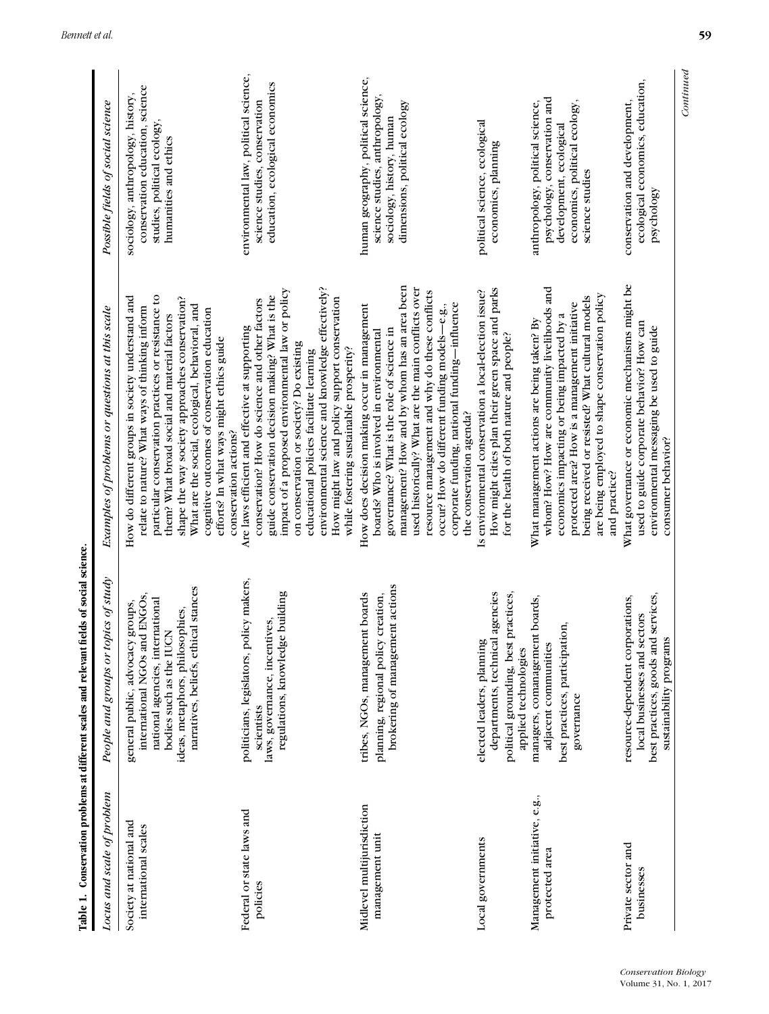|                                                 | Table 1. Conservation problems at different scales and relevant fields of social science.                                                                                                                   |                                                                                                                                                                                                                                                                                                                                                                                                                                                |                                                                                                                                                 |
|-------------------------------------------------|-------------------------------------------------------------------------------------------------------------------------------------------------------------------------------------------------------------|------------------------------------------------------------------------------------------------------------------------------------------------------------------------------------------------------------------------------------------------------------------------------------------------------------------------------------------------------------------------------------------------------------------------------------------------|-------------------------------------------------------------------------------------------------------------------------------------------------|
| Locus and scale of problem                      | topics of study<br>People and groups or                                                                                                                                                                     | Examples of problems or questions at this scale                                                                                                                                                                                                                                                                                                                                                                                                | Possible fields of social science                                                                                                               |
| Society at national and<br>international scales | narratives, beliefs, ethical stances<br>international NGOs and ENGOs,<br>national agencies, international<br>general public, advocacy groups,<br>ideas, metaphors, philosophies,<br>bodies such as the IUCN | particular conservation practices or resistance to<br>How do different groups in society understand and<br>shape the way society approaches conservation?<br>What are the social, ecological, behavioral, and<br>relate to nature? What ways of thinking inform<br>cognitive outcomes of conservation education<br>them? What broad social and material factors<br>efforts? In what ways might ethics guide<br>conservation actions?           | conservation education, science<br>sociology, anthropology, history,<br>studies, political ecology,<br>humanities and ethics                    |
| Federal or state laws and<br>policies           | policy makers,<br>regulations, knowledge building<br>laws, governance, incentives,<br>politicians, legislators,<br>scientists                                                                               | environmental science and knowledge effectively?<br>impact of a proposed environmental law or policy<br>guide conservation decision making? What is the<br>How might law and policy support conservation<br>conservation? How do science and other factors<br>Are laws efficient and effective at supporting<br>on conservation or society? Do existing<br>while fostering sustainable prosperity?<br>educational policies facilitate learning | environmental law, political science,<br>education, ecological economics<br>science studies, conservation                                       |
| Midlevel multijurisdiction<br>management unit   | brokering of management actions<br>tribes, NGOs, management boards<br>planning, regional policy creation,                                                                                                   | management? How and by whom has an area been<br>used historically? What are the main conflicts over<br>resource management and why do these conflicts<br>corporate funding, national funding-influence<br>How does decision making occur in management<br>occur? How do different funding models-e.g.,<br>governance? What is the role of science in<br>boards? Who is involved in environmental<br>the conservation agenda?                   | human geography, political science,<br>science studies, anthropology,<br>dimensions, political ecology<br>sociology, history, human             |
| Local governments                               | departments, technical agencies<br>political grounding, best practices,<br>elected leaders, planning<br>applied technologies                                                                                | How might cities plan their green space and parks<br>Is environmental conservation a local-election issue?<br>for the health of both nature and people?                                                                                                                                                                                                                                                                                        | political science, ecological<br>economics, planning                                                                                            |
| Management initiative, e.g.,<br>protected area  | managers, comanagement boards,<br>best practices, participation,<br>adjacent communities<br>governance                                                                                                      | whom? How? How are community livelihoods and<br>are being employed to shape conservation policy<br>being received or resisted? What cultural models<br>protected area? How is a management initiative<br>economics impacting or being impacted by a<br>What management actions are being taken? By<br>and practice?                                                                                                                            | psychology, conservation and<br>economics, political ecology,<br>anthropology, political science,<br>development, ecological<br>science studies |
| Private sector and<br>businesses                | best practices, goods and services,<br>resource-dependent corporations,<br>local businesses and sectors<br>sustainability programs                                                                          | What governance or economic mechanisms might be<br>used to guide corporate behavior? How can<br>environmental messaging be used to guide<br>consumer behavior?                                                                                                                                                                                                                                                                                 | ecological economics, education,<br>conservation and development,<br>psychology                                                                 |
|                                                 |                                                                                                                                                                                                             |                                                                                                                                                                                                                                                                                                                                                                                                                                                | Continued                                                                                                                                       |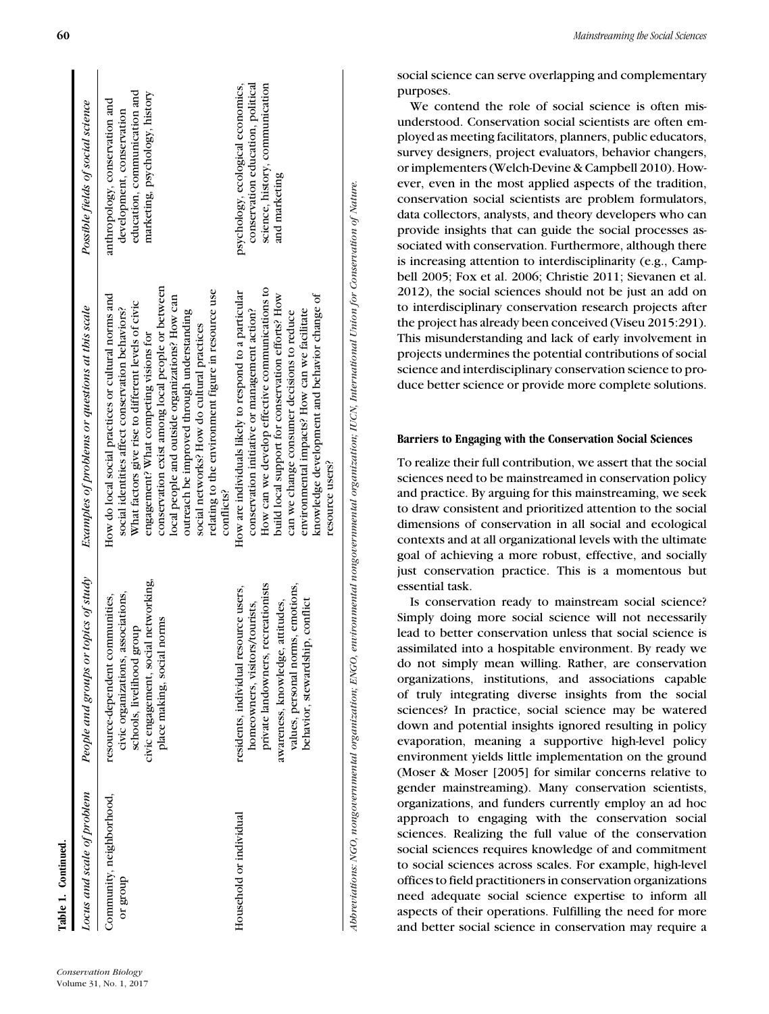| Table 1. Continued.                  |                                                                                                                                                                                                                           |                                                                                                                                                                                                                                                                                                                                                                                                                                                                                |                                                                                                                               |
|--------------------------------------|---------------------------------------------------------------------------------------------------------------------------------------------------------------------------------------------------------------------------|--------------------------------------------------------------------------------------------------------------------------------------------------------------------------------------------------------------------------------------------------------------------------------------------------------------------------------------------------------------------------------------------------------------------------------------------------------------------------------|-------------------------------------------------------------------------------------------------------------------------------|
| Locus and scale of problem           | People and groups or topics of study                                                                                                                                                                                      | Examples of problems or questions at this scale                                                                                                                                                                                                                                                                                                                                                                                                                                | Possible fields of social science                                                                                             |
| Community, neighborhood,<br>or group | civic engagement, social networking,<br>civic organizations, associations,<br>resource-dependent communities,<br>place making, social norms<br>schools, livelihood group                                                  | conservation exist among local people or between<br>relating to the environment figure in resource use<br>How do local social practices or cultural norms and<br>local people and outside organizations? How can<br>What factors give rise to different levels of civic<br>social identities affect conservation behaviors?<br>outreach be improved through understanding<br>social networks? How do cultural practices<br>engagement? What competing visions for<br>condicts? | education, communication and<br>marketing, psychology, history<br>anthropology, conservation and<br>development, conservation |
| Household or individual              | private landowners, recreationists<br>values, personal norms, emotions,<br>residents, individual resource users,<br>behavior, stewardship, conflict<br>awareness, knowledge, attitudes,<br>homeowners, visitors/tourists, | How can we develop effective communications to<br>How are individuals likely to respond to a particular<br>build local support for conservation efforts? How<br>knowledge development and behavior change of<br>environmental impacts? How can we facilitate<br>conservation initiative or management action?<br>can we change consumer decisions to reduce<br>resource users?                                                                                                 | conservation education, political<br>science, history, communication<br>psychology, ecological economics,<br>and marketing    |
|                                      |                                                                                                                                                                                                                           | Abbreviations: NGO, nongovernmental organization; ENGO, environmental nongovernmental organization; IUCN, International Union for Conservation of Nature.                                                                                                                                                                                                                                                                                                                      |                                                                                                                               |

social science can serve overlapping and complementary purposes.

We contend the role of social science is often misunderstood. Conservation social scientists are often employed as meeting facilitators, planners, public educators, survey designers, project evaluators, behavior changers, or implementers (Welch-Devine & Campbell 2010). However, even in the most applied aspects of the tradition, conservation social scientists are problem formulators, data collectors, analysts, and theory developers who can provide insights that can guide the social processes associated with conservation. Furthermore, although there is increasing attention to interdisciplinarity (e.g., Campbell 2005; Fox et al. 2006; Christie 2011; Sievanen et al. 2012), the social sciences should not be just an add on to interdisciplinary conservation research projects after the project has already been conceived (Viseu 2015:291). This misunderstanding and lack of early involvement in projects undermines the potential contributions of social science and interdisciplinary conservation science to produce better science or provide more complete solutions.

### **Barriers to Engaging with the Conservation Social Sciences**

To realize their full contribution, we assert that the social sciences need to be mainstreamed in conservation policy and practice. By arguing for this mainstreaming, we seek to draw consistent and prioritized attention to the social dimensions of conservation in all social and ecological contexts and at all organizational levels with the ultimate goal of achieving a more robust, effective, and socially just conservation practice. This is a momentous but essential task.

Is conservation ready to mainstream social science? Simply doing more social science will not necessarily lead to better conservation unless that social science is assimilated into a hospitable environment. By ready we do not simply mean willing. Rather, are conservation organizations, institutions, and associations capable of truly integrating diverse insights from the social sciences? In practice, social science may be watered down and potential insights ignored resulting in policy evaporation, meaning a supportive high-level policy environment yields little implementation on the ground (Moser & Moser [2005] for similar concerns relative to gender mainstreaming). Many conservation scientists, organizations, and funders currently employ an ad hoc approach to engaging with the conservation social sciences. Realizing the full value of the conservation social sciences requires knowledge of and commitment to social sciences across scales. For example, high-level offices to field practitioners in conservation organizations need adequate social science expertise to inform all aspects of their operations. Fulfilling the need for more and better social science in conservation may require a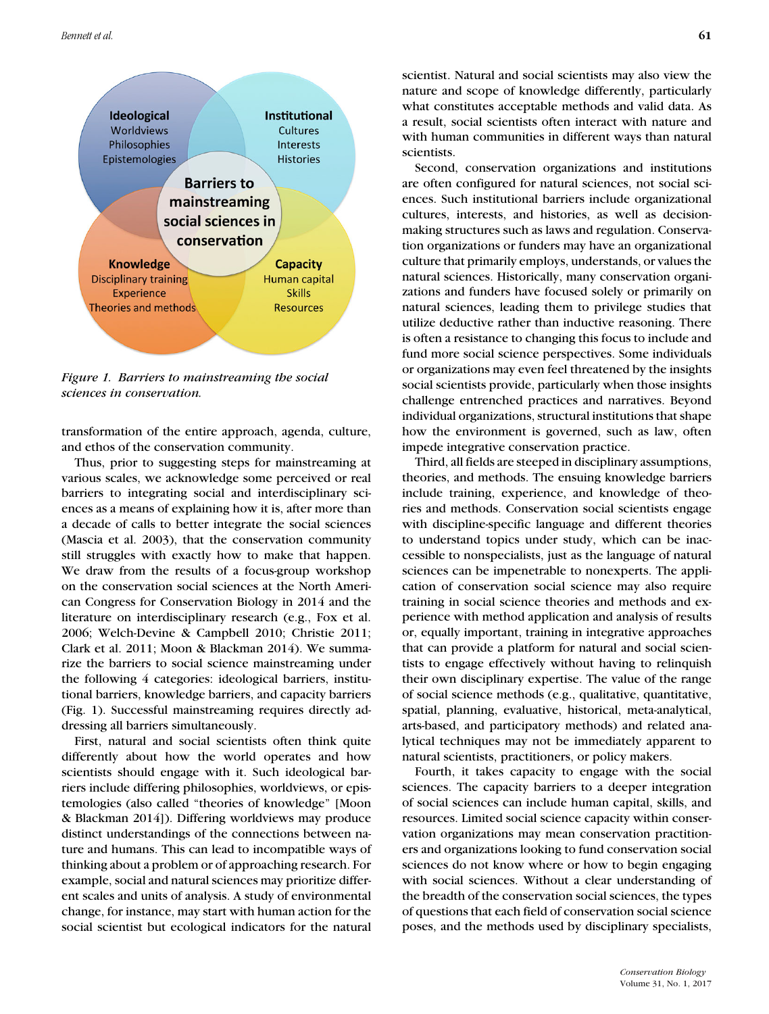

*Figure 1. Barriers to mainstreaming the social sciences in conservation.*

transformation of the entire approach, agenda, culture, and ethos of the conservation community.

Thus, prior to suggesting steps for mainstreaming at various scales, we acknowledge some perceived or real barriers to integrating social and interdisciplinary sciences as a means of explaining how it is, after more than a decade of calls to better integrate the social sciences (Mascia et al. 2003), that the conservation community still struggles with exactly how to make that happen. We draw from the results of a focus-group workshop on the conservation social sciences at the North American Congress for Conservation Biology in 2014 and the literature on interdisciplinary research (e.g., Fox et al. 2006; Welch-Devine & Campbell 2010; Christie 2011; Clark et al. 2011; Moon & Blackman 2014). We summarize the barriers to social science mainstreaming under the following 4 categories: ideological barriers, institutional barriers, knowledge barriers, and capacity barriers (Fig. 1). Successful mainstreaming requires directly addressing all barriers simultaneously.

First, natural and social scientists often think quite differently about how the world operates and how scientists should engage with it. Such ideological barriers include differing philosophies, worldviews, or epistemologies (also called "theories of knowledge" [Moon & Blackman 2014]). Differing worldviews may produce distinct understandings of the connections between nature and humans. This can lead to incompatible ways of thinking about a problem or of approaching research. For example, social and natural sciences may prioritize different scales and units of analysis. A study of environmental change, for instance, may start with human action for the social scientist but ecological indicators for the natural scientist. Natural and social scientists may also view the nature and scope of knowledge differently, particularly what constitutes acceptable methods and valid data. As a result, social scientists often interact with nature and with human communities in different ways than natural scientists.

Second, conservation organizations and institutions are often configured for natural sciences, not social sciences. Such institutional barriers include organizational cultures, interests, and histories, as well as decisionmaking structures such as laws and regulation. Conservation organizations or funders may have an organizational culture that primarily employs, understands, or values the natural sciences. Historically, many conservation organizations and funders have focused solely or primarily on natural sciences, leading them to privilege studies that utilize deductive rather than inductive reasoning. There is often a resistance to changing this focus to include and fund more social science perspectives. Some individuals or organizations may even feel threatened by the insights social scientists provide, particularly when those insights challenge entrenched practices and narratives. Beyond individual organizations, structural institutions that shape how the environment is governed, such as law, often impede integrative conservation practice.

Third, all fields are steeped in disciplinary assumptions, theories, and methods. The ensuing knowledge barriers include training, experience, and knowledge of theories and methods. Conservation social scientists engage with discipline-specific language and different theories to understand topics under study, which can be inaccessible to nonspecialists, just as the language of natural sciences can be impenetrable to nonexperts. The application of conservation social science may also require training in social science theories and methods and experience with method application and analysis of results or, equally important, training in integrative approaches that can provide a platform for natural and social scientists to engage effectively without having to relinquish their own disciplinary expertise. The value of the range of social science methods (e.g., qualitative, quantitative, spatial, planning, evaluative, historical, meta-analytical, arts-based, and participatory methods) and related analytical techniques may not be immediately apparent to natural scientists, practitioners, or policy makers.

Fourth, it takes capacity to engage with the social sciences. The capacity barriers to a deeper integration of social sciences can include human capital, skills, and resources. Limited social science capacity within conservation organizations may mean conservation practitioners and organizations looking to fund conservation social sciences do not know where or how to begin engaging with social sciences. Without a clear understanding of the breadth of the conservation social sciences, the types of questions that each field of conservation social science poses, and the methods used by disciplinary specialists,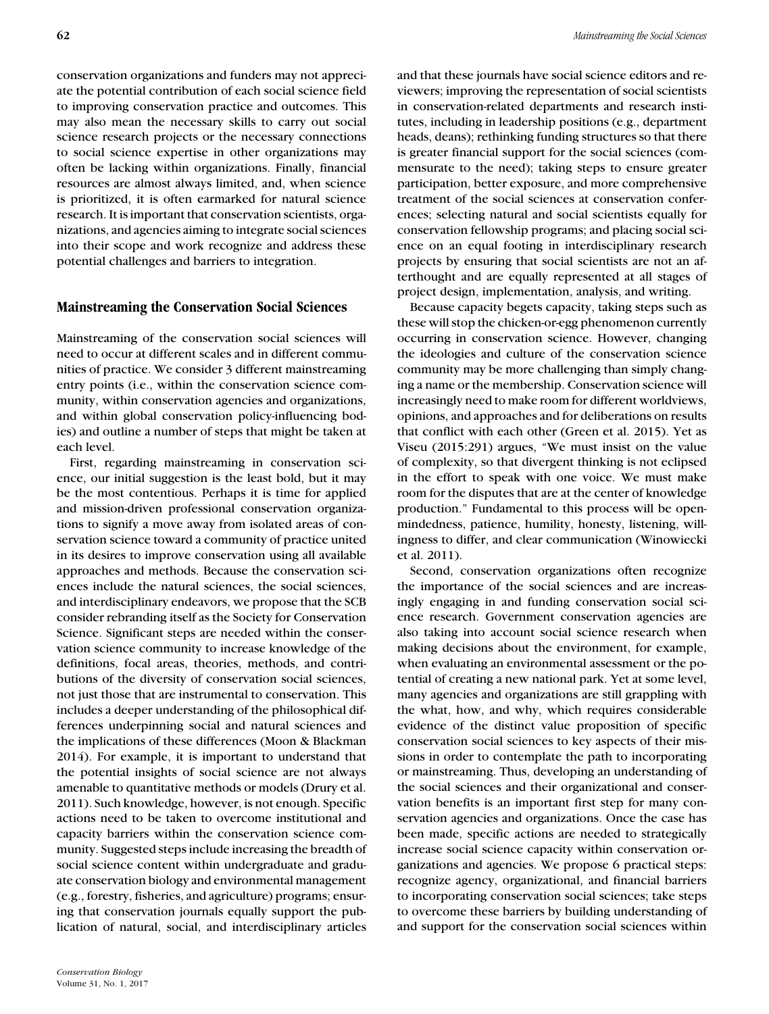conservation organizations and funders may not appreciate the potential contribution of each social science field to improving conservation practice and outcomes. This may also mean the necessary skills to carry out social science research projects or the necessary connections to social science expertise in other organizations may often be lacking within organizations. Finally, financial resources are almost always limited, and, when science is prioritized, it is often earmarked for natural science research. It is important that conservation scientists, organizations, and agencies aiming to integrate social sciences into their scope and work recognize and address these potential challenges and barriers to integration.

#### **Mainstreaming the Conservation Social Sciences**

Mainstreaming of the conservation social sciences will need to occur at different scales and in different communities of practice. We consider 3 different mainstreaming entry points (i.e., within the conservation science community, within conservation agencies and organizations, and within global conservation policy-influencing bodies) and outline a number of steps that might be taken at each level.

First, regarding mainstreaming in conservation science, our initial suggestion is the least bold, but it may be the most contentious. Perhaps it is time for applied and mission-driven professional conservation organizations to signify a move away from isolated areas of conservation science toward a community of practice united in its desires to improve conservation using all available approaches and methods. Because the conservation sciences include the natural sciences, the social sciences, and interdisciplinary endeavors, we propose that the SCB consider rebranding itself as the Society for Conservation Science. Significant steps are needed within the conservation science community to increase knowledge of the definitions, focal areas, theories, methods, and contributions of the diversity of conservation social sciences, not just those that are instrumental to conservation. This includes a deeper understanding of the philosophical differences underpinning social and natural sciences and the implications of these differences (Moon & Blackman 2014). For example, it is important to understand that the potential insights of social science are not always amenable to quantitative methods or models (Drury et al. 2011). Such knowledge, however, is not enough. Specific actions need to be taken to overcome institutional and capacity barriers within the conservation science community. Suggested steps include increasing the breadth of social science content within undergraduate and graduate conservation biology and environmental management (e.g., forestry, fisheries, and agriculture) programs; ensuring that conservation journals equally support the publication of natural, social, and interdisciplinary articles

and that these journals have social science editors and reviewers; improving the representation of social scientists in conservation-related departments and research institutes, including in leadership positions (e.g., department heads, deans); rethinking funding structures so that there is greater financial support for the social sciences (commensurate to the need); taking steps to ensure greater participation, better exposure, and more comprehensive treatment of the social sciences at conservation conferences; selecting natural and social scientists equally for conservation fellowship programs; and placing social science on an equal footing in interdisciplinary research projects by ensuring that social scientists are not an afterthought and are equally represented at all stages of project design, implementation, analysis, and writing.

Because capacity begets capacity, taking steps such as these will stop the chicken-or-egg phenomenon currently occurring in conservation science. However, changing the ideologies and culture of the conservation science community may be more challenging than simply changing a name or the membership. Conservation science will increasingly need to make room for different worldviews, opinions, and approaches and for deliberations on results that conflict with each other (Green et al. 2015). Yet as Viseu (2015:291) argues, "We must insist on the value of complexity, so that divergent thinking is not eclipsed in the effort to speak with one voice. We must make room for the disputes that are at the center of knowledge production." Fundamental to this process will be openmindedness, patience, humility, honesty, listening, willingness to differ, and clear communication (Winowiecki et al. 2011).

Second, conservation organizations often recognize the importance of the social sciences and are increasingly engaging in and funding conservation social science research. Government conservation agencies are also taking into account social science research when making decisions about the environment, for example, when evaluating an environmental assessment or the potential of creating a new national park. Yet at some level, many agencies and organizations are still grappling with the what, how, and why, which requires considerable evidence of the distinct value proposition of specific conservation social sciences to key aspects of their missions in order to contemplate the path to incorporating or mainstreaming. Thus, developing an understanding of the social sciences and their organizational and conservation benefits is an important first step for many conservation agencies and organizations. Once the case has been made, specific actions are needed to strategically increase social science capacity within conservation organizations and agencies. We propose 6 practical steps: recognize agency, organizational, and financial barriers to incorporating conservation social sciences; take steps to overcome these barriers by building understanding of and support for the conservation social sciences within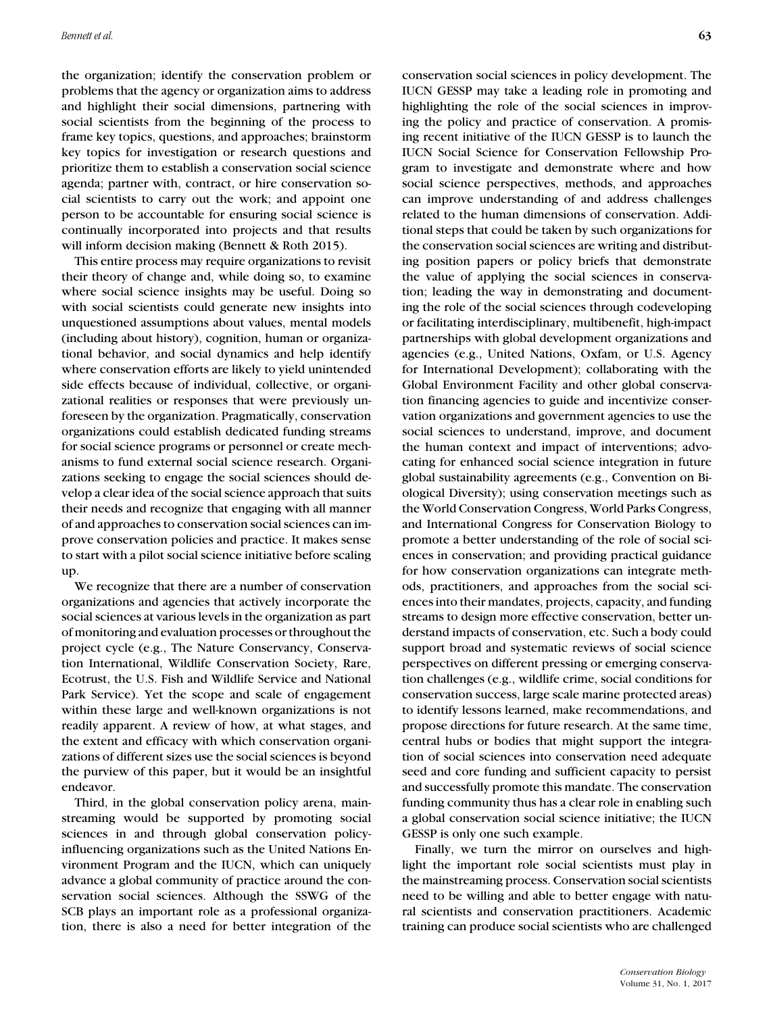the organization; identify the conservation problem or problems that the agency or organization aims to address and highlight their social dimensions, partnering with social scientists from the beginning of the process to frame key topics, questions, and approaches; brainstorm key topics for investigation or research questions and prioritize them to establish a conservation social science agenda; partner with, contract, or hire conservation social scientists to carry out the work; and appoint one person to be accountable for ensuring social science is continually incorporated into projects and that results will inform decision making (Bennett & Roth 2015).

This entire process may require organizations to revisit their theory of change and, while doing so, to examine where social science insights may be useful. Doing so with social scientists could generate new insights into unquestioned assumptions about values, mental models (including about history), cognition, human or organizational behavior, and social dynamics and help identify where conservation efforts are likely to yield unintended side effects because of individual, collective, or organizational realities or responses that were previously unforeseen by the organization. Pragmatically, conservation organizations could establish dedicated funding streams for social science programs or personnel or create mechanisms to fund external social science research. Organizations seeking to engage the social sciences should develop a clear idea of the social science approach that suits their needs and recognize that engaging with all manner of and approaches to conservation social sciences can improve conservation policies and practice. It makes sense to start with a pilot social science initiative before scaling up.

We recognize that there are a number of conservation organizations and agencies that actively incorporate the social sciences at various levels in the organization as part of monitoring and evaluation processes or throughout the project cycle (e.g., The Nature Conservancy, Conservation International, Wildlife Conservation Society, Rare, Ecotrust, the U.S. Fish and Wildlife Service and National Park Service). Yet the scope and scale of engagement within these large and well-known organizations is not readily apparent. A review of how, at what stages, and the extent and efficacy with which conservation organizations of different sizes use the social sciences is beyond the purview of this paper, but it would be an insightful endeavor.

Third, in the global conservation policy arena, mainstreaming would be supported by promoting social sciences in and through global conservation policyinfluencing organizations such as the United Nations Environment Program and the IUCN, which can uniquely advance a global community of practice around the conservation social sciences. Although the SSWG of the SCB plays an important role as a professional organization, there is also a need for better integration of the conservation social sciences in policy development. The IUCN GESSP may take a leading role in promoting and highlighting the role of the social sciences in improving the policy and practice of conservation. A promising recent initiative of the IUCN GESSP is to launch the IUCN Social Science for Conservation Fellowship Program to investigate and demonstrate where and how social science perspectives, methods, and approaches can improve understanding of and address challenges related to the human dimensions of conservation. Additional steps that could be taken by such organizations for the conservation social sciences are writing and distributing position papers or policy briefs that demonstrate the value of applying the social sciences in conservation; leading the way in demonstrating and documenting the role of the social sciences through codeveloping or facilitating interdisciplinary, multibenefit, high-impact partnerships with global development organizations and agencies (e.g., United Nations, Oxfam, or U.S. Agency for International Development); collaborating with the Global Environment Facility and other global conservation financing agencies to guide and incentivize conservation organizations and government agencies to use the social sciences to understand, improve, and document the human context and impact of interventions; advocating for enhanced social science integration in future global sustainability agreements (e.g., Convention on Biological Diversity); using conservation meetings such as the World Conservation Congress, World Parks Congress, and International Congress for Conservation Biology to promote a better understanding of the role of social sciences in conservation; and providing practical guidance for how conservation organizations can integrate methods, practitioners, and approaches from the social sciences into their mandates, projects, capacity, and funding streams to design more effective conservation, better understand impacts of conservation, etc. Such a body could support broad and systematic reviews of social science perspectives on different pressing or emerging conservation challenges (e.g., wildlife crime, social conditions for conservation success, large scale marine protected areas) to identify lessons learned, make recommendations, and propose directions for future research. At the same time, central hubs or bodies that might support the integration of social sciences into conservation need adequate seed and core funding and sufficient capacity to persist and successfully promote this mandate. The conservation funding community thus has a clear role in enabling such a global conservation social science initiative; the IUCN GESSP is only one such example.

Finally, we turn the mirror on ourselves and highlight the important role social scientists must play in the mainstreaming process. Conservation social scientists need to be willing and able to better engage with natural scientists and conservation practitioners. Academic training can produce social scientists who are challenged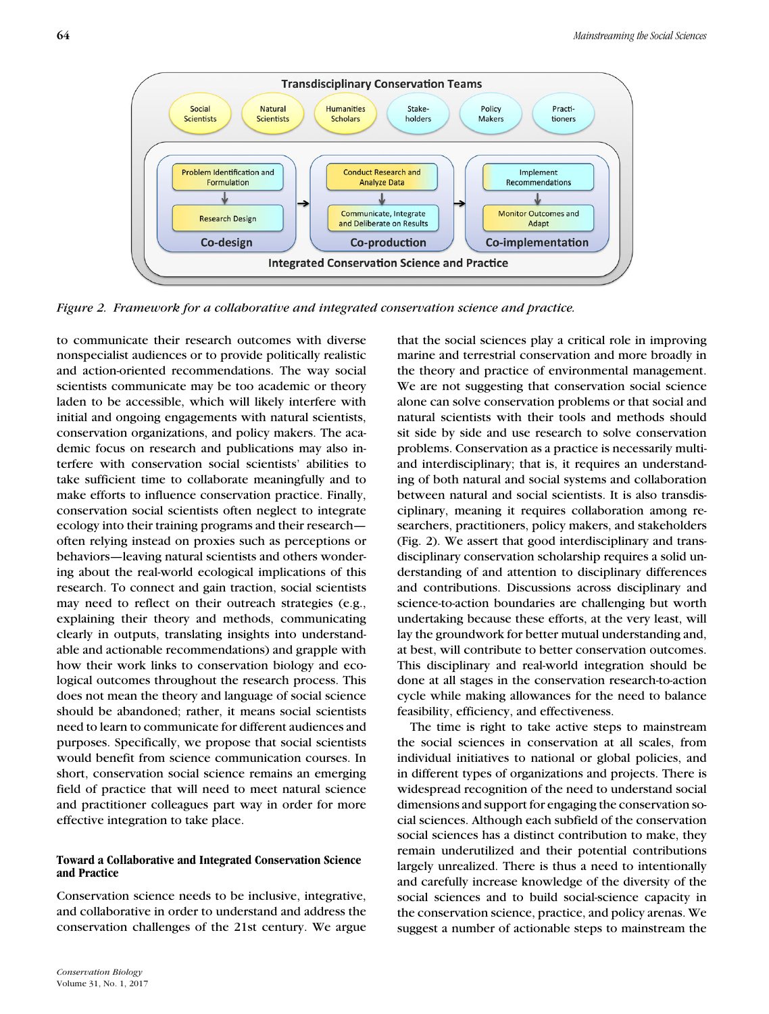

*Figure 2. Framework for a collaborative and integrated conservation science and practice.*

to communicate their research outcomes with diverse nonspecialist audiences or to provide politically realistic and action-oriented recommendations. The way social scientists communicate may be too academic or theory laden to be accessible, which will likely interfere with initial and ongoing engagements with natural scientists, conservation organizations, and policy makers. The academic focus on research and publications may also interfere with conservation social scientists' abilities to take sufficient time to collaborate meaningfully and to make efforts to influence conservation practice. Finally, conservation social scientists often neglect to integrate ecology into their training programs and their research often relying instead on proxies such as perceptions or behaviors—leaving natural scientists and others wondering about the real-world ecological implications of this research. To connect and gain traction, social scientists may need to reflect on their outreach strategies (e.g., explaining their theory and methods, communicating clearly in outputs, translating insights into understandable and actionable recommendations) and grapple with how their work links to conservation biology and ecological outcomes throughout the research process. This does not mean the theory and language of social science should be abandoned; rather, it means social scientists need to learn to communicate for different audiences and purposes. Specifically, we propose that social scientists would benefit from science communication courses. In short, conservation social science remains an emerging field of practice that will need to meet natural science and practitioner colleagues part way in order for more effective integration to take place.

#### **Toward a Collaborative and Integrated Conservation Science and Practice**

Conservation science needs to be inclusive, integrative, and collaborative in order to understand and address the conservation challenges of the 21st century. We argue

that the social sciences play a critical role in improving marine and terrestrial conservation and more broadly in the theory and practice of environmental management. We are not suggesting that conservation social science alone can solve conservation problems or that social and natural scientists with their tools and methods should sit side by side and use research to solve conservation problems. Conservation as a practice is necessarily multiand interdisciplinary; that is, it requires an understanding of both natural and social systems and collaboration between natural and social scientists. It is also transdisciplinary, meaning it requires collaboration among researchers, practitioners, policy makers, and stakeholders (Fig. 2). We assert that good interdisciplinary and transdisciplinary conservation scholarship requires a solid understanding of and attention to disciplinary differences and contributions. Discussions across disciplinary and science-to-action boundaries are challenging but worth undertaking because these efforts, at the very least, will lay the groundwork for better mutual understanding and, at best, will contribute to better conservation outcomes. This disciplinary and real-world integration should be done at all stages in the conservation research-to-action cycle while making allowances for the need to balance feasibility, efficiency, and effectiveness.

The time is right to take active steps to mainstream the social sciences in conservation at all scales, from individual initiatives to national or global policies, and in different types of organizations and projects. There is widespread recognition of the need to understand social dimensions and support for engaging the conservation social sciences. Although each subfield of the conservation social sciences has a distinct contribution to make, they remain underutilized and their potential contributions largely unrealized. There is thus a need to intentionally and carefully increase knowledge of the diversity of the social sciences and to build social-science capacity in the conservation science, practice, and policy arenas. We suggest a number of actionable steps to mainstream the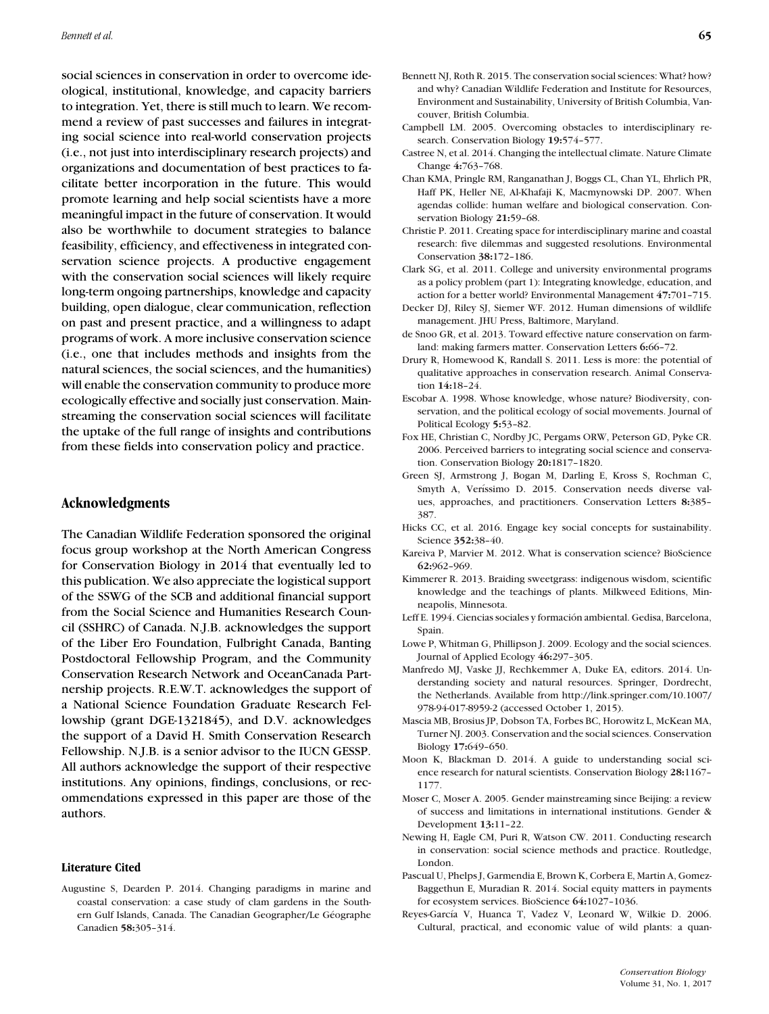social sciences in conservation in order to overcome ideological, institutional, knowledge, and capacity barriers to integration. Yet, there is still much to learn. We recommend a review of past successes and failures in integrating social science into real-world conservation projects (i.e., not just into interdisciplinary research projects) and organizations and documentation of best practices to facilitate better incorporation in the future. This would promote learning and help social scientists have a more meaningful impact in the future of conservation. It would also be worthwhile to document strategies to balance feasibility, efficiency, and effectiveness in integrated conservation science projects. A productive engagement with the conservation social sciences will likely require long-term ongoing partnerships, knowledge and capacity building, open dialogue, clear communication, reflection on past and present practice, and a willingness to adapt programs of work. A more inclusive conservation science (i.e., one that includes methods and insights from the natural sciences, the social sciences, and the humanities) will enable the conservation community to produce more ecologically effective and socially just conservation. Mainstreaming the conservation social sciences will facilitate the uptake of the full range of insights and contributions from these fields into conservation policy and practice.

# **Acknowledgments**

The Canadian Wildlife Federation sponsored the original focus group workshop at the North American Congress for Conservation Biology in 2014 that eventually led to this publication. We also appreciate the logistical support of the SSWG of the SCB and additional financial support from the Social Science and Humanities Research Council (SSHRC) of Canada. N.J.B. acknowledges the support of the Liber Ero Foundation, Fulbright Canada, Banting Postdoctoral Fellowship Program, and the Community Conservation Research Network and OceanCanada Partnership projects. R.E.W.T. acknowledges the support of a National Science Foundation Graduate Research Fellowship (grant DGE-1321845), and D.V. acknowledges the support of a David H. Smith Conservation Research Fellowship. N.J.B. is a senior advisor to the IUCN GESSP. All authors acknowledge the support of their respective institutions. Any opinions, findings, conclusions, or recommendations expressed in this paper are those of the authors.

#### **Literature Cited**

Augustine S, Dearden P. 2014. Changing paradigms in marine and coastal conservation: a case study of clam gardens in the Southern Gulf Islands, Canada. The Canadian Geographer/Le Géographe Canadien **58:**305–314.

- Bennett NJ, Roth R. 2015. The conservation social sciences: What? how? and why? Canadian Wildlife Federation and Institute for Resources, Environment and Sustainability, University of British Columbia, Vancouver, British Columbia.
- Campbell LM. 2005. Overcoming obstacles to interdisciplinary research. Conservation Biology **19:**574–577.
- Castree N, et al. 2014. Changing the intellectual climate. Nature Climate Change **4:**763–768.
- Chan KMA, Pringle RM, Ranganathan J, Boggs CL, Chan YL, Ehrlich PR, Haff PK, Heller NE, Al-Khafaji K, Macmynowski DP. 2007. When agendas collide: human welfare and biological conservation. Conservation Biology **21:**59–68.
- Christie P. 2011. Creating space for interdisciplinary marine and coastal research: five dilemmas and suggested resolutions. Environmental Conservation **38:**172–186.
- Clark SG, et al. 2011. College and university environmental programs as a policy problem (part 1): Integrating knowledge, education, and action for a better world? Environmental Management **47:**701–715.
- Decker DJ, Riley SJ, Siemer WF. 2012. Human dimensions of wildlife management. JHU Press, Baltimore, Maryland.
- de Snoo GR, et al. 2013. Toward effective nature conservation on farmland: making farmers matter. Conservation Letters **6:**66–72.
- Drury R, Homewood K, Randall S. 2011. Less is more: the potential of qualitative approaches in conservation research. Animal Conservation **14:**18–24.
- Escobar A. 1998. Whose knowledge, whose nature? Biodiversity, conservation, and the political ecology of social movements. Journal of Political Ecology **5:**53–82.
- Fox HE, Christian C, Nordby JC, Pergams ORW, Peterson GD, Pyke CR. 2006. Perceived barriers to integrating social science and conservation. Conservation Biology **20:**1817–1820.
- Green SJ, Armstrong J, Bogan M, Darling E, Kross S, Rochman C, Smyth A, Veríssimo D. 2015. Conservation needs diverse values, approaches, and practitioners. Conservation Letters **8:**385– 387.
- Hicks CC, et al. 2016. Engage key social concepts for sustainability. Science **352:**38–40.
- Kareiva P, Marvier M. 2012. What is conservation science? BioScience **62:**962–969.
- Kimmerer R. 2013. Braiding sweetgrass: indigenous wisdom, scientific knowledge and the teachings of plants. Milkweed Editions, Minneapolis, Minnesota.
- Leff E. 1994. Ciencias sociales y formación ambiental. Gedisa, Barcelona, Spain.
- Lowe P, Whitman G, Phillipson J. 2009. Ecology and the social sciences. Journal of Applied Ecology **46:**297–305.
- Manfredo MJ, Vaske JJ, Rechkemmer A, Duke EA, editors. 2014. Understanding society and natural resources. Springer, Dordrecht, the Netherlands. Available from [http://link.springer.com/10.1007/](http://link.springer.com/10.1007/978-94-017-8959-2) [978-94-017-8959-2](http://link.springer.com/10.1007/978-94-017-8959-2) (accessed October 1, 2015).
- Mascia MB, Brosius JP, Dobson TA, Forbes BC, Horowitz L, McKean MA, Turner NJ. 2003. Conservation and the social sciences. Conservation Biology **17:**649–650.
- Moon K, Blackman D. 2014. A guide to understanding social science research for natural scientists. Conservation Biology **28:**1167– 1177.
- Moser C, Moser A. 2005. Gender mainstreaming since Beijing: a review of success and limitations in international institutions. Gender & Development **13:**11–22.
- Newing H, Eagle CM, Puri R, Watson CW. 2011. Conducting research in conservation: social science methods and practice. Routledge, London.
- Pascual U, Phelps J, Garmendia E, Brown K, Corbera E, Martin A, Gomez-Baggethun E, Muradian R. 2014. Social equity matters in payments for ecosystem services. BioScience **64:**1027–1036.
- Reyes-García V, Huanca T, Vadez V, Leonard W, Wilkie D. 2006. Cultural, practical, and economic value of wild plants: a quan-